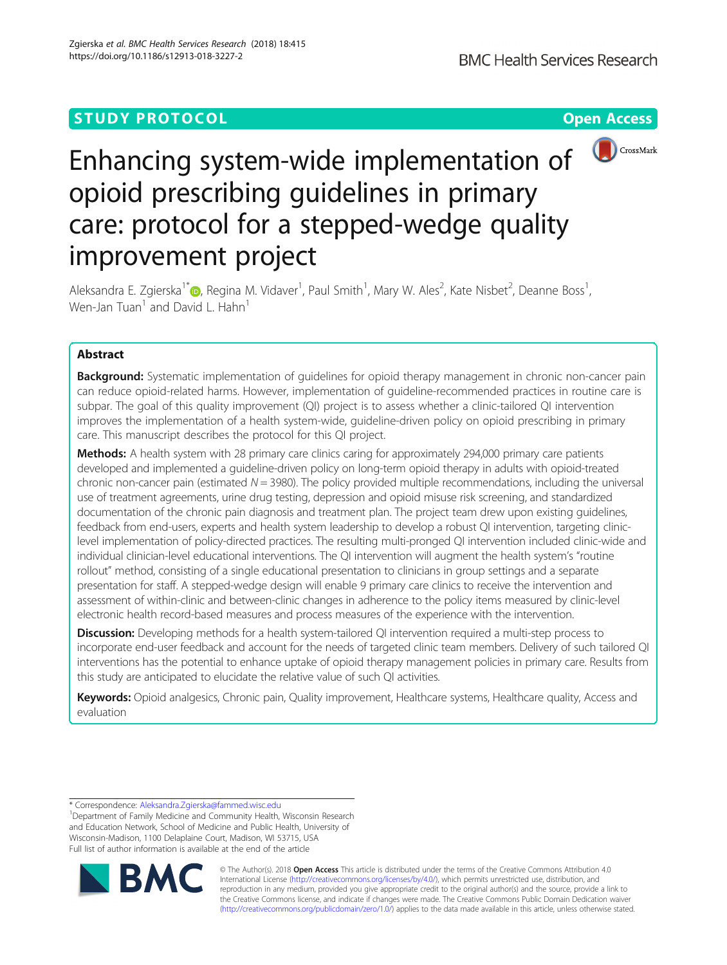## **STUDY PROTOCOL CONSUMING THE CONSUMING OPEN ACCESS**



# Enhancing system-wide implementation of opioid prescribing guidelines in primary care: protocol for a stepped-wedge quality improvement project

Aleksandra E. Zgierska<sup>1\*</sup>®, Regina M. Vidaver<sup>1</sup>, Paul Smith<sup>1</sup>, Mary W. Ales<sup>2</sup>, Kate Nisbet<sup>2</sup>, Deanne Boss<sup>1</sup> , Wen-Jan Tuan<sup>1</sup> and David L. Hahn<sup>1</sup>

## Abstract

**Background:** Systematic implementation of quidelines for opioid therapy management in chronic non-cancer pain can reduce opioid-related harms. However, implementation of guideline-recommended practices in routine care is subpar. The goal of this quality improvement (QI) project is to assess whether a clinic-tailored QI intervention improves the implementation of a health system-wide, guideline-driven policy on opioid prescribing in primary care. This manuscript describes the protocol for this QI project.

Methods: A health system with 28 primary care clinics caring for approximately 294,000 primary care patients developed and implemented a guideline-driven policy on long-term opioid therapy in adults with opioid-treated chronic non-cancer pain (estimated  $N = 3980$ ). The policy provided multiple recommendations, including the universal use of treatment agreements, urine drug testing, depression and opioid misuse risk screening, and standardized documentation of the chronic pain diagnosis and treatment plan. The project team drew upon existing guidelines, feedback from end-users, experts and health system leadership to develop a robust QI intervention, targeting cliniclevel implementation of policy-directed practices. The resulting multi-pronged QI intervention included clinic-wide and individual clinician-level educational interventions. The QI intervention will augment the health system's "routine rollout" method, consisting of a single educational presentation to clinicians in group settings and a separate presentation for staff. A stepped-wedge design will enable 9 primary care clinics to receive the intervention and assessment of within-clinic and between-clinic changes in adherence to the policy items measured by clinic-level electronic health record-based measures and process measures of the experience with the intervention.

Discussion: Developing methods for a health system-tailored QI intervention required a multi-step process to incorporate end-user feedback and account for the needs of targeted clinic team members. Delivery of such tailored QI interventions has the potential to enhance uptake of opioid therapy management policies in primary care. Results from this study are anticipated to elucidate the relative value of such QI activities.

Keywords: Opioid analgesics, Chronic pain, Quality improvement, Healthcare systems, Healthcare quality, Access and evaluation

\* Correspondence: [Aleksandra.Zgierska@fammed.wisc.edu](mailto:Aleksandra.Zgierska@fammed.wisc.edu) <sup>1</sup>

<sup>1</sup>Department of Family Medicine and Community Health, Wisconsin Research and Education Network, School of Medicine and Public Health, University of Wisconsin-Madison, 1100 Delaplaine Court, Madison, WI 53715, USA Full list of author information is available at the end of the article



© The Author(s). 2018 Open Access This article is distributed under the terms of the Creative Commons Attribution 4.0 International License [\(http://creativecommons.org/licenses/by/4.0/](http://creativecommons.org/licenses/by/4.0/)), which permits unrestricted use, distribution, and reproduction in any medium, provided you give appropriate credit to the original author(s) and the source, provide a link to the Creative Commons license, and indicate if changes were made. The Creative Commons Public Domain Dedication waiver [\(http://creativecommons.org/publicdomain/zero/1.0/](http://creativecommons.org/publicdomain/zero/1.0/)) applies to the data made available in this article, unless otherwise stated.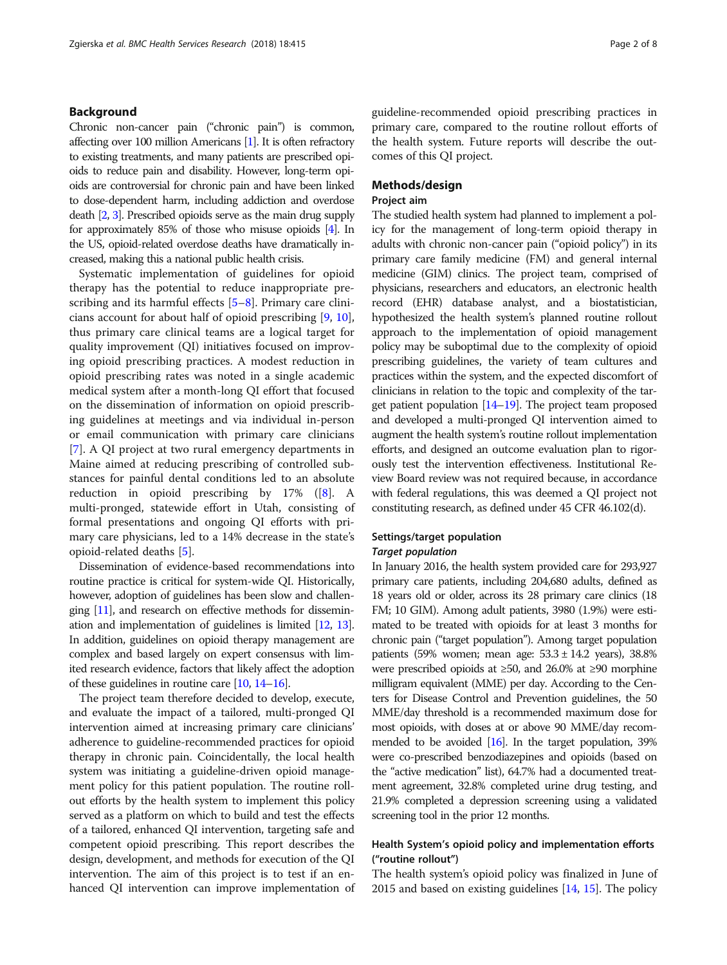## Background

Chronic non-cancer pain ("chronic pain") is common, affecting over 100 million Americans [\[1](#page-6-0)]. It is often refractory to existing treatments, and many patients are prescribed opioids to reduce pain and disability. However, long-term opioids are controversial for chronic pain and have been linked to dose-dependent harm, including addiction and overdose death [\[2,](#page-7-0) [3\]](#page-7-0). Prescribed opioids serve as the main drug supply for approximately 85% of those who misuse opioids [\[4\]](#page-7-0). In the US, opioid-related overdose deaths have dramatically increased, making this a national public health crisis.

Systematic implementation of guidelines for opioid therapy has the potential to reduce inappropriate prescribing and its harmful effects [\[5](#page-7-0)–[8\]](#page-7-0). Primary care clinicians account for about half of opioid prescribing [\[9](#page-7-0), [10](#page-7-0)], thus primary care clinical teams are a logical target for quality improvement (QI) initiatives focused on improving opioid prescribing practices. A modest reduction in opioid prescribing rates was noted in a single academic medical system after a month-long QI effort that focused on the dissemination of information on opioid prescribing guidelines at meetings and via individual in-person or email communication with primary care clinicians [[7\]](#page-7-0). A QI project at two rural emergency departments in Maine aimed at reducing prescribing of controlled substances for painful dental conditions led to an absolute reduction in opioid prescribing by 17% ([[8\]](#page-7-0). A multi-pronged, statewide effort in Utah, consisting of formal presentations and ongoing QI efforts with primary care physicians, led to a 14% decrease in the state's opioid-related deaths [\[5](#page-7-0)].

Dissemination of evidence-based recommendations into routine practice is critical for system-wide QI. Historically, however, adoption of guidelines has been slow and challenging [[11](#page-7-0)], and research on effective methods for dissemination and implementation of guidelines is limited [\[12](#page-7-0), [13](#page-7-0)]. In addition, guidelines on opioid therapy management are complex and based largely on expert consensus with limited research evidence, factors that likely affect the adoption of these guidelines in routine care [\[10,](#page-7-0) [14](#page-7-0)–[16](#page-7-0)].

The project team therefore decided to develop, execute, and evaluate the impact of a tailored, multi-pronged QI intervention aimed at increasing primary care clinicians' adherence to guideline-recommended practices for opioid therapy in chronic pain. Coincidentally, the local health system was initiating a guideline-driven opioid management policy for this patient population. The routine rollout efforts by the health system to implement this policy served as a platform on which to build and test the effects of a tailored, enhanced QI intervention, targeting safe and competent opioid prescribing. This report describes the design, development, and methods for execution of the QI intervention. The aim of this project is to test if an enhanced QI intervention can improve implementation of guideline-recommended opioid prescribing practices in primary care, compared to the routine rollout efforts of the health system. Future reports will describe the outcomes of this QI project.

#### Methods/design

## Project aim

The studied health system had planned to implement a policy for the management of long-term opioid therapy in adults with chronic non-cancer pain ("opioid policy") in its primary care family medicine (FM) and general internal medicine (GIM) clinics. The project team, comprised of physicians, researchers and educators, an electronic health record (EHR) database analyst, and a biostatistician, hypothesized the health system's planned routine rollout approach to the implementation of opioid management policy may be suboptimal due to the complexity of opioid prescribing guidelines, the variety of team cultures and practices within the system, and the expected discomfort of clinicians in relation to the topic and complexity of the target patient population [\[14](#page-7-0)–[19\]](#page-7-0). The project team proposed and developed a multi-pronged QI intervention aimed to augment the health system's routine rollout implementation efforts, and designed an outcome evaluation plan to rigorously test the intervention effectiveness. Institutional Review Board review was not required because, in accordance with federal regulations, this was deemed a QI project not constituting research, as defined under 45 CFR 46.102(d).

## Settings/target population

## Target population

In January 2016, the health system provided care for 293,927 primary care patients, including 204,680 adults, defined as 18 years old or older, across its 28 primary care clinics (18 FM; 10 GIM). Among adult patients, 3980 (1.9%) were estimated to be treated with opioids for at least 3 months for chronic pain ("target population"). Among target population patients (59% women; mean age:  $53.3 \pm 14.2$  years), 38.8% were prescribed opioids at  $\geq 50$ , and 26.0% at  $\geq 90$  morphine milligram equivalent (MME) per day. According to the Centers for Disease Control and Prevention guidelines, the 50 MME/day threshold is a recommended maximum dose for most opioids, with doses at or above 90 MME/day recommended to be avoided  $[16]$  $[16]$ . In the target population, 39% were co-prescribed benzodiazepines and opioids (based on the "active medication" list), 64.7% had a documented treatment agreement, 32.8% completed urine drug testing, and 21.9% completed a depression screening using a validated screening tool in the prior 12 months.

## Health System's opioid policy and implementation efforts ("routine rollout")

The health system's opioid policy was finalized in June of 2015 and based on existing guidelines [\[14](#page-7-0), [15\]](#page-7-0). The policy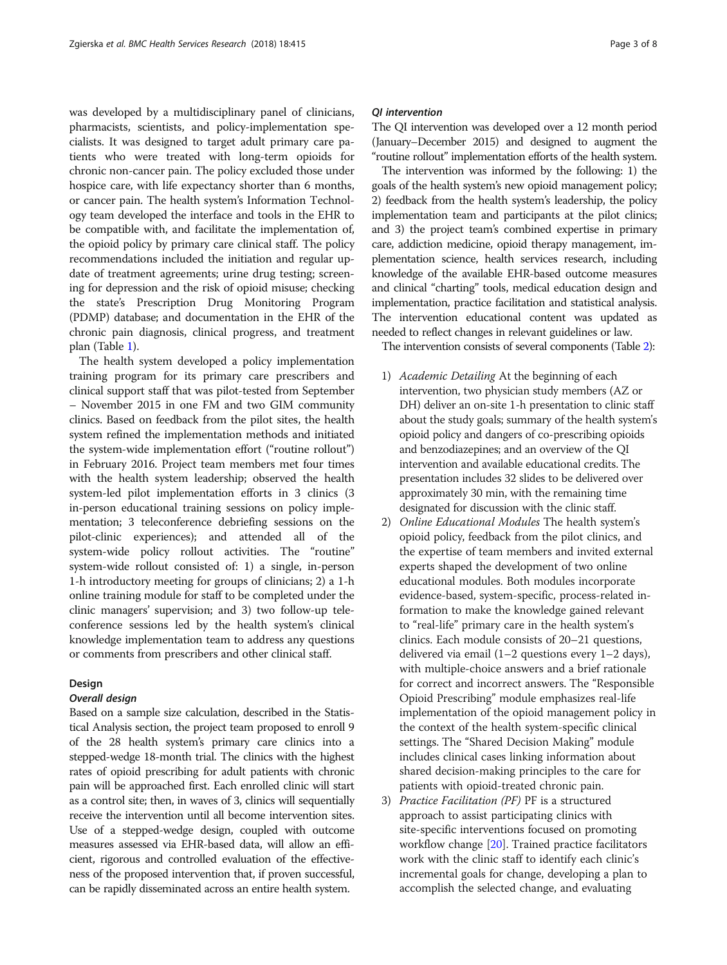was developed by a multidisciplinary panel of clinicians, pharmacists, scientists, and policy-implementation specialists. It was designed to target adult primary care patients who were treated with long-term opioids for chronic non-cancer pain. The policy excluded those under hospice care, with life expectancy shorter than 6 months, or cancer pain. The health system's Information Technology team developed the interface and tools in the EHR to be compatible with, and facilitate the implementation of, the opioid policy by primary care clinical staff. The policy recommendations included the initiation and regular update of treatment agreements; urine drug testing; screening for depression and the risk of opioid misuse; checking the state's Prescription Drug Monitoring Program (PDMP) database; and documentation in the EHR of the chronic pain diagnosis, clinical progress, and treatment plan (Table [1\)](#page-3-0).

The health system developed a policy implementation training program for its primary care prescribers and clinical support staff that was pilot-tested from September – November 2015 in one FM and two GIM community clinics. Based on feedback from the pilot sites, the health system refined the implementation methods and initiated the system-wide implementation effort ("routine rollout") in February 2016. Project team members met four times with the health system leadership; observed the health system-led pilot implementation efforts in 3 clinics (3 in-person educational training sessions on policy implementation; 3 teleconference debriefing sessions on the pilot-clinic experiences); and attended all of the system-wide policy rollout activities. The "routine" system-wide rollout consisted of: 1) a single, in-person 1-h introductory meeting for groups of clinicians; 2) a 1-h online training module for staff to be completed under the clinic managers' supervision; and 3) two follow-up teleconference sessions led by the health system's clinical knowledge implementation team to address any questions or comments from prescribers and other clinical staff.

## Design

#### Overall design

Based on a sample size calculation, described in the Statistical Analysis section, the project team proposed to enroll 9 of the 28 health system's primary care clinics into a stepped-wedge 18-month trial. The clinics with the highest rates of opioid prescribing for adult patients with chronic pain will be approached first. Each enrolled clinic will start as a control site; then, in waves of 3, clinics will sequentially receive the intervention until all become intervention sites. Use of a stepped-wedge design, coupled with outcome measures assessed via EHR-based data, will allow an efficient, rigorous and controlled evaluation of the effectiveness of the proposed intervention that, if proven successful, can be rapidly disseminated across an entire health system.

## QI intervention

The QI intervention was developed over a 12 month period (January–December 2015) and designed to augment the "routine rollout" implementation efforts of the health system.

The intervention was informed by the following: 1) the goals of the health system's new opioid management policy; 2) feedback from the health system's leadership, the policy implementation team and participants at the pilot clinics; and 3) the project team's combined expertise in primary care, addiction medicine, opioid therapy management, implementation science, health services research, including knowledge of the available EHR-based outcome measures and clinical "charting" tools, medical education design and implementation, practice facilitation and statistical analysis. The intervention educational content was updated as needed to reflect changes in relevant guidelines or law.

The intervention consists of several components (Table [2\)](#page-4-0):

- 1) Academic Detailing At the beginning of each intervention, two physician study members (AZ or DH) deliver an on-site 1-h presentation to clinic staff about the study goals; summary of the health system's opioid policy and dangers of co-prescribing opioids and benzodiazepines; and an overview of the QI intervention and available educational credits. The presentation includes 32 slides to be delivered over approximately 30 min, with the remaining time designated for discussion with the clinic staff.
- 2) Online Educational Modules The health system's opioid policy, feedback from the pilot clinics, and the expertise of team members and invited external experts shaped the development of two online educational modules. Both modules incorporate evidence-based, system-specific, process-related information to make the knowledge gained relevant to "real-life" primary care in the health system's clinics. Each module consists of 20–21 questions, delivered via email (1–2 questions every 1–2 days), with multiple-choice answers and a brief rationale for correct and incorrect answers. The "Responsible Opioid Prescribing" module emphasizes real-life implementation of the opioid management policy in the context of the health system-specific clinical settings. The "Shared Decision Making" module includes clinical cases linking information about shared decision-making principles to the care for patients with opioid-treated chronic pain.
- 3) Practice Facilitation (PF) PF is a structured approach to assist participating clinics with site-specific interventions focused on promoting workflow change [[20\]](#page-7-0). Trained practice facilitators work with the clinic staff to identify each clinic's incremental goals for change, developing a plan to accomplish the selected change, and evaluating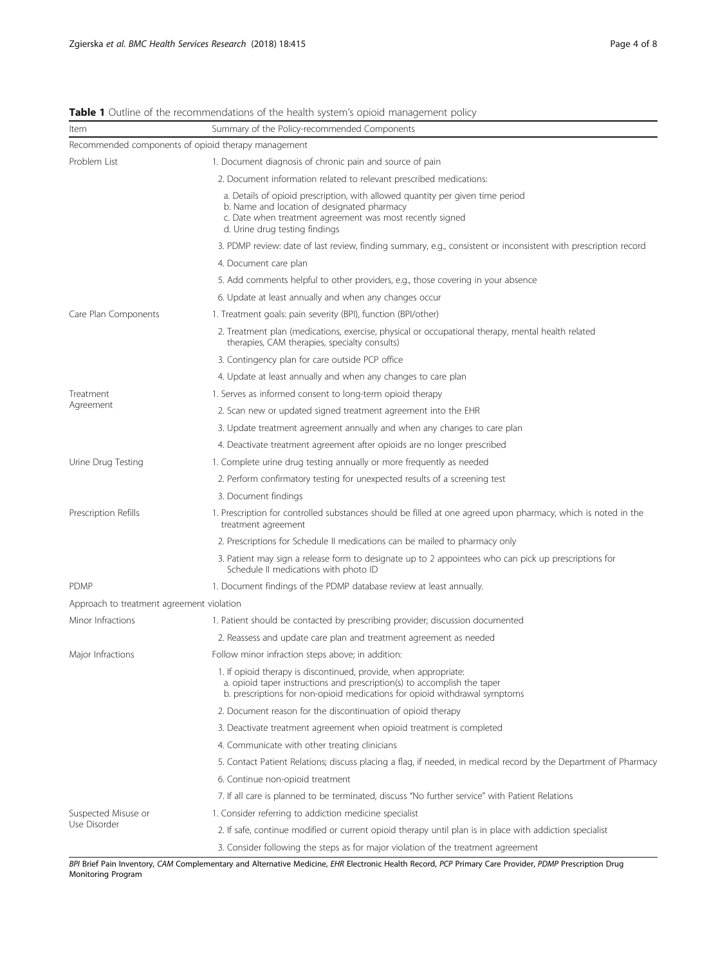|                                           | <b>Rable I</b> Oddine of the recommendations of the nearth systems opiold management poilcy                                                                                                                                  |
|-------------------------------------------|------------------------------------------------------------------------------------------------------------------------------------------------------------------------------------------------------------------------------|
| Item                                      | Summary of the Policy-recommended Components                                                                                                                                                                                 |
|                                           | Recommended components of opioid therapy management                                                                                                                                                                          |
| Problem List                              | 1. Document diagnosis of chronic pain and source of pain                                                                                                                                                                     |
|                                           | 2. Document information related to relevant prescribed medications:                                                                                                                                                          |
|                                           | a. Details of opioid prescription, with allowed quantity per given time period<br>b. Name and location of designated pharmacy<br>c. Date when treatment agreement was most recently signed<br>d. Urine drug testing findings |
|                                           | 3. PDMP review: date of last review, finding summary, e.g., consistent or inconsistent with prescription record                                                                                                              |
|                                           | 4. Document care plan                                                                                                                                                                                                        |
|                                           | 5. Add comments helpful to other providers, e.g., those covering in your absence                                                                                                                                             |
|                                           | 6. Update at least annually and when any changes occur                                                                                                                                                                       |
| Care Plan Components                      | 1. Treatment goals: pain severity (BPI), function (BPI/other)                                                                                                                                                                |
|                                           | 2. Treatment plan (medications, exercise, physical or occupational therapy, mental health related<br>therapies, CAM therapies, specialty consults)                                                                           |
|                                           | 3. Contingency plan for care outside PCP office                                                                                                                                                                              |
|                                           | 4. Update at least annually and when any changes to care plan                                                                                                                                                                |
| Treatment                                 | 1. Serves as informed consent to long-term opioid therapy                                                                                                                                                                    |
| Agreement                                 | 2. Scan new or updated signed treatment agreement into the EHR                                                                                                                                                               |
|                                           | 3. Update treatment agreement annually and when any changes to care plan                                                                                                                                                     |
|                                           | 4. Deactivate treatment agreement after opioids are no longer prescribed                                                                                                                                                     |
| Urine Drug Testing                        | 1. Complete urine drug testing annually or more frequently as needed                                                                                                                                                         |
|                                           | 2. Perform confirmatory testing for unexpected results of a screening test                                                                                                                                                   |
|                                           | 3. Document findings                                                                                                                                                                                                         |
| Prescription Refills                      | 1. Prescription for controlled substances should be filled at one agreed upon pharmacy, which is noted in the<br>treatment agreement                                                                                         |
|                                           | 2. Prescriptions for Schedule II medications can be mailed to pharmacy only                                                                                                                                                  |
|                                           | 3. Patient may sign a release form to designate up to 2 appointees who can pick up prescriptions for<br>Schedule II medications with photo ID                                                                                |
| <b>PDMP</b>                               | 1. Document findings of the PDMP database review at least annually.                                                                                                                                                          |
| Approach to treatment agreement violation |                                                                                                                                                                                                                              |
| Minor Infractions                         | 1. Patient should be contacted by prescribing provider; discussion documented                                                                                                                                                |
|                                           | 2. Reassess and update care plan and treatment agreement as needed                                                                                                                                                           |
| Major Infractions                         | Follow minor infraction steps above; in addition:                                                                                                                                                                            |
|                                           | 1. If opioid therapy is discontinued, provide, when appropriate:<br>a. opioid taper instructions and prescription(s) to accomplish the taper<br>b. prescriptions for non-opioid medications for opioid withdrawal symptoms   |
|                                           | 2. Document reason for the discontinuation of opioid therapy                                                                                                                                                                 |
|                                           | 3. Deactivate treatment agreement when opioid treatment is completed                                                                                                                                                         |
|                                           | 4. Communicate with other treating clinicians                                                                                                                                                                                |
|                                           | 5. Contact Patient Relations; discuss placing a flag, if needed, in medical record by the Department of Pharmacy                                                                                                             |
|                                           | 6. Continue non-opioid treatment                                                                                                                                                                                             |
|                                           | 7. If all care is planned to be terminated, discuss "No further service" with Patient Relations                                                                                                                              |
| Suspected Misuse or<br>Use Disorder       | 1. Consider referring to addiction medicine specialist                                                                                                                                                                       |
|                                           | 2. If safe, continue modified or current opioid therapy until plan is in place with addiction specialist                                                                                                                     |
|                                           | 3. Consider following the steps as for major violation of the treatment agreement                                                                                                                                            |

<span id="page-3-0"></span>Table 1 Outline of the recommendations of the health system's opioid management policy

BPI Brief Pain Inventory, CAM Complementary and Alternative Medicine, EHR Electronic Health Record, PCP Primary Care Provider, PDMP Prescription Drug Monitoring Program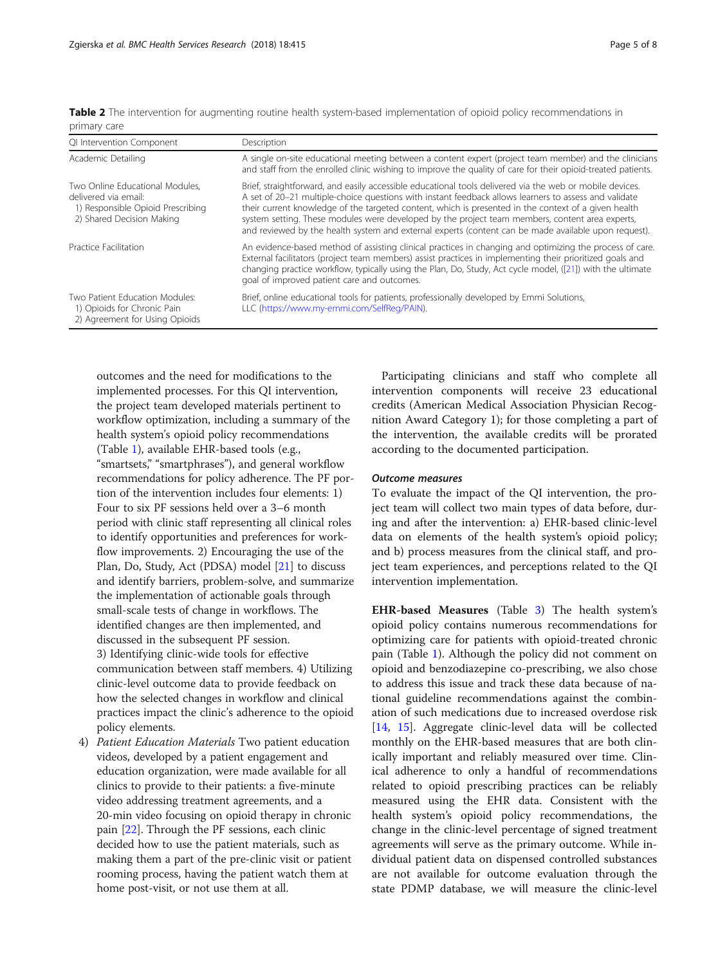<span id="page-4-0"></span>Table 2 The intervention for augmenting routine health system-based implementation of opioid policy recommendations in primary care

| QI Intervention Component                                                                                                 | Description                                                                                                                                                                                                                                                                                                                                                                                                                                                                                                                          |
|---------------------------------------------------------------------------------------------------------------------------|--------------------------------------------------------------------------------------------------------------------------------------------------------------------------------------------------------------------------------------------------------------------------------------------------------------------------------------------------------------------------------------------------------------------------------------------------------------------------------------------------------------------------------------|
| Academic Detailing                                                                                                        | A single on-site educational meeting between a content expert (project team member) and the clinicians<br>and staff from the enrolled clinic wishing to improve the quality of care for their opioid-treated patients.                                                                                                                                                                                                                                                                                                               |
| Two Online Educational Modules.<br>delivered via email:<br>1) Responsible Opioid Prescribing<br>2) Shared Decision Making | Brief, straightforward, and easily accessible educational tools delivered via the web or mobile devices.<br>A set of 20-21 multiple-choice questions with instant feedback allows learners to assess and validate<br>their current knowledge of the targeted content, which is presented in the context of a given health<br>system setting. These modules were developed by the project team members, content area experts,<br>and reviewed by the health system and external experts (content can be made available upon request). |
| Practice Facilitation                                                                                                     | An evidence-based method of assisting clinical practices in changing and optimizing the process of care.<br>External facilitators (project team members) assist practices in implementing their prioritized goals and<br>changing practice workflow, typically using the Plan, Do, Study, Act cycle model, ([21]) with the ultimate<br>goal of improved patient care and outcomes.                                                                                                                                                   |
| Two Patient Education Modules:<br>1) Opioids for Chronic Pain<br>2) Agreement for Using Opioids                           | Brief, online educational tools for patients, professionally developed by Emmi Solutions,<br>LLC (https://www.my-emmi.com/SelfReq/PAIN).                                                                                                                                                                                                                                                                                                                                                                                             |

outcomes and the need for modifications to the implemented processes. For this QI intervention, the project team developed materials pertinent to workflow optimization, including a summary of the health system's opioid policy recommendations (Table [1\)](#page-3-0), available EHR-based tools (e.g., "smartsets," "smartphrases"), and general workflow recommendations for policy adherence. The PF portion of the intervention includes four elements: 1) Four to six PF sessions held over a 3–6 month period with clinic staff representing all clinical roles to identify opportunities and preferences for workflow improvements. 2) Encouraging the use of the Plan, Do, Study, Act (PDSA) model [\[21\]](#page-7-0) to discuss and identify barriers, problem-solve, and summarize the implementation of actionable goals through small-scale tests of change in workflows. The identified changes are then implemented, and discussed in the subsequent PF session. 3) Identifying clinic-wide tools for effective communication between staff members. 4) Utilizing clinic-level outcome data to provide feedback on how the selected changes in workflow and clinical practices impact the clinic's adherence to the opioid policy elements.

4) Patient Education Materials Two patient education videos, developed by a patient engagement and education organization, were made available for all clinics to provide to their patients: a five-minute video addressing treatment agreements, and a 20-min video focusing on opioid therapy in chronic pain [[22](#page-7-0)]. Through the PF sessions, each clinic decided how to use the patient materials, such as making them a part of the pre-clinic visit or patient rooming process, having the patient watch them at home post-visit, or not use them at all.

Participating clinicians and staff who complete all intervention components will receive 23 educational credits (American Medical Association Physician Recognition Award Category 1); for those completing a part of the intervention, the available credits will be prorated according to the documented participation.

#### Outcome measures

To evaluate the impact of the QI intervention, the project team will collect two main types of data before, during and after the intervention: a) EHR-based clinic-level data on elements of the health system's opioid policy; and b) process measures from the clinical staff, and project team experiences, and perceptions related to the QI intervention implementation.

EHR-based Measures (Table [3](#page-5-0)) The health system's opioid policy contains numerous recommendations for optimizing care for patients with opioid-treated chronic pain (Table [1](#page-3-0)). Although the policy did not comment on opioid and benzodiazepine co-prescribing, we also chose to address this issue and track these data because of national guideline recommendations against the combination of such medications due to increased overdose risk [[14,](#page-7-0) [15\]](#page-7-0). Aggregate clinic-level data will be collected monthly on the EHR-based measures that are both clinically important and reliably measured over time. Clinical adherence to only a handful of recommendations related to opioid prescribing practices can be reliably measured using the EHR data. Consistent with the health system's opioid policy recommendations, the change in the clinic-level percentage of signed treatment agreements will serve as the primary outcome. While individual patient data on dispensed controlled substances are not available for outcome evaluation through the state PDMP database, we will measure the clinic-level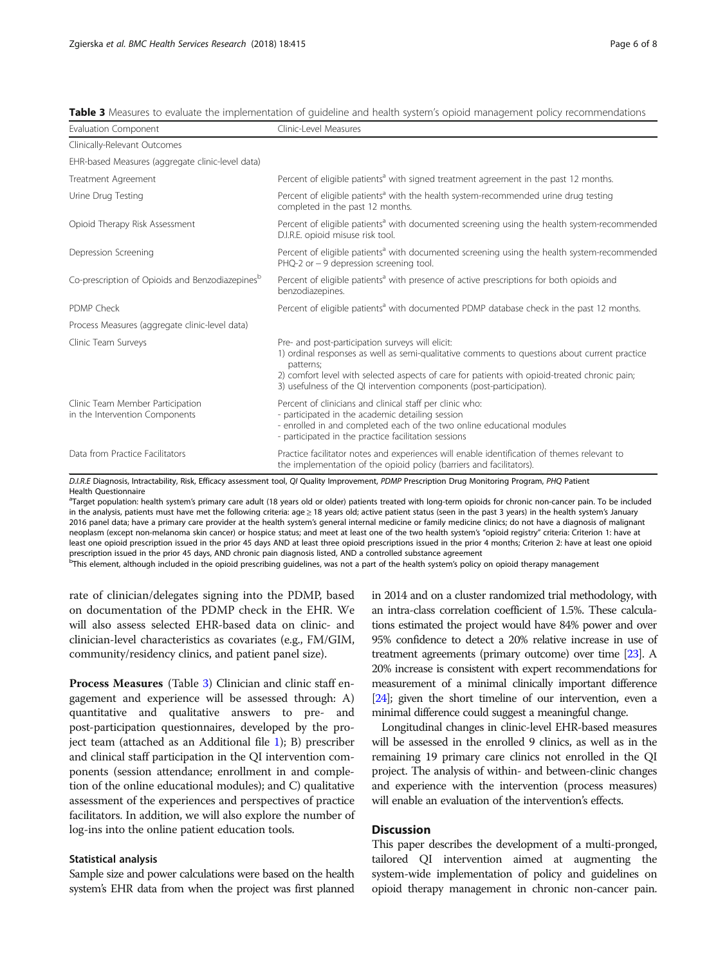| <b>Evaluation Component</b>                                        | Clinic-Level Measures                                                                                                                                                                                                                                                                                                                    |
|--------------------------------------------------------------------|------------------------------------------------------------------------------------------------------------------------------------------------------------------------------------------------------------------------------------------------------------------------------------------------------------------------------------------|
| Clinically-Relevant Outcomes                                       |                                                                                                                                                                                                                                                                                                                                          |
| EHR-based Measures (aggregate clinic-level data)                   |                                                                                                                                                                                                                                                                                                                                          |
| Treatment Agreement                                                | Percent of eligible patients <sup>a</sup> with signed treatment agreement in the past 12 months.                                                                                                                                                                                                                                         |
| Urine Drug Testing                                                 | Percent of eligible patients <sup>a</sup> with the health system-recommended urine drug testing<br>completed in the past 12 months.                                                                                                                                                                                                      |
| Opioid Therapy Risk Assessment                                     | Percent of eligible patients <sup>a</sup> with documented screening using the health system-recommended<br>D.I.R.E. opioid misuse risk tool.                                                                                                                                                                                             |
| Depression Screening                                               | Percent of eligible patients <sup>a</sup> with documented screening using the health system-recommended<br>$PHQ-2$ or $-9$ depression screening tool.                                                                                                                                                                                    |
| Co-prescription of Opioids and Benzodiazepines <sup>b</sup>        | Percent of eligible patients <sup>a</sup> with presence of active prescriptions for both opioids and<br>benzodiazepines.                                                                                                                                                                                                                 |
| <b>PDMP Check</b>                                                  | Percent of eligible patients <sup>a</sup> with documented PDMP database check in the past 12 months.                                                                                                                                                                                                                                     |
| Process Measures (aggregate clinic-level data)                     |                                                                                                                                                                                                                                                                                                                                          |
| Clinic Team Surveys                                                | Pre- and post-participation surveys will elicit:<br>1) ordinal responses as well as semi-qualitative comments to questions about current practice<br>patterns;<br>2) comfort level with selected aspects of care for patients with opioid-treated chronic pain;<br>3) usefulness of the QI intervention components (post-participation). |
| Clinic Team Member Participation<br>in the Intervention Components | Percent of clinicians and clinical staff per clinic who:<br>- participated in the academic detailing session<br>- enrolled in and completed each of the two online educational modules<br>- participated in the practice facilitation sessions                                                                                           |
| Data from Practice Facilitators                                    | Practice facilitator notes and experiences will enable identification of themes relevant to<br>the implementation of the opioid policy (barriers and facilitators).                                                                                                                                                                      |

<span id="page-5-0"></span>Table 3 Measures to evaluate the implementation of quideline and health system's opioid management policy recommendations

ty, Risk, Efficacy assessment tool, Q/ Quality Improvement, *PDMP* Prescription Drug Monitoring Program, *PHQ* Patient Health Questionnaire

a<br>Target population: health system's primary care adult (18 years old or older) patients treated with long-term opioids for chronic non-cancer pain. To be included in the analysis, patients must have met the following criteria: age ≥ 18 years old; active patient status (seen in the past 3 years) in the health system's January 2016 panel data; have a primary care provider at the health system's general internal medicine or family medicine clinics; do not have a diagnosis of malignant neoplasm (except non-melanoma skin cancer) or hospice status; and meet at least one of the two health system's "opioid registry" criteria: Criterion 1: have at least one opioid prescription issued in the prior 45 days AND at least three opioid prescriptions issued in the prior 4 months; Criterion 2: have at least one opioid prescription issued in the prior 45 days, AND chronic pain diagnosis listed, AND a controlled substance agreement

<sup>b</sup>This element, although included in the opioid prescribing guidelines, was not a part of the health system's policy on opioid therapy management

rate of clinician/delegates signing into the PDMP, based on documentation of the PDMP check in the EHR. We will also assess selected EHR-based data on clinic- and clinician-level characteristics as covariates (e.g., FM/GIM, community/residency clinics, and patient panel size).

Process Measures (Table 3) Clinician and clinic staff engagement and experience will be assessed through: A) quantitative and qualitative answers to pre- and post-participation questionnaires, developed by the project team (attached as an Additional file [1](#page-6-0)); B) prescriber and clinical staff participation in the QI intervention components (session attendance; enrollment in and completion of the online educational modules); and C) qualitative assessment of the experiences and perspectives of practice facilitators. In addition, we will also explore the number of log-ins into the online patient education tools.

#### Statistical analysis

Sample size and power calculations were based on the health system's EHR data from when the project was first planned

in 2014 and on a cluster randomized trial methodology, with an intra-class correlation coefficient of 1.5%. These calculations estimated the project would have 84% power and over 95% confidence to detect a 20% relative increase in use of treatment agreements (primary outcome) over time [\[23](#page-7-0)]. A 20% increase is consistent with expert recommendations for measurement of a minimal clinically important difference [[24\]](#page-7-0); given the short timeline of our intervention, even a minimal difference could suggest a meaningful change.

Longitudinal changes in clinic-level EHR-based measures will be assessed in the enrolled 9 clinics, as well as in the remaining 19 primary care clinics not enrolled in the QI project. The analysis of within- and between-clinic changes and experience with the intervention (process measures) will enable an evaluation of the intervention's effects.

## **Discussion**

This paper describes the development of a multi-pronged, tailored QI intervention aimed at augmenting the system-wide implementation of policy and guidelines on opioid therapy management in chronic non-cancer pain.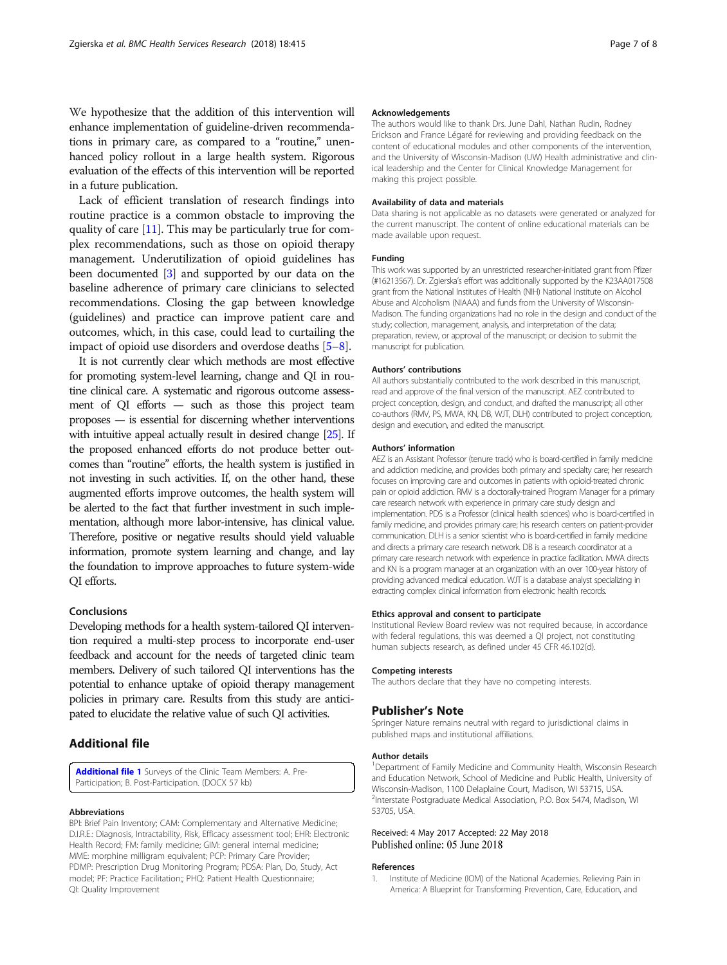<span id="page-6-0"></span>We hypothesize that the addition of this intervention will enhance implementation of guideline-driven recommendations in primary care, as compared to a "routine," unenhanced policy rollout in a large health system. Rigorous evaluation of the effects of this intervention will be reported in a future publication.

Lack of efficient translation of research findings into routine practice is a common obstacle to improving the quality of care  $[11]$ . This may be particularly true for complex recommendations, such as those on opioid therapy management. Underutilization of opioid guidelines has been documented [[3](#page-7-0)] and supported by our data on the baseline adherence of primary care clinicians to selected recommendations. Closing the gap between knowledge (guidelines) and practice can improve patient care and outcomes, which, in this case, could lead to curtailing the impact of opioid use disorders and overdose deaths [\[5](#page-7-0)–[8\]](#page-7-0).

It is not currently clear which methods are most effective for promoting system-level learning, change and QI in routine clinical care. A systematic and rigorous outcome assessment of QI efforts — such as those this project team proposes — is essential for discerning whether interventions with intuitive appeal actually result in desired change [[25\]](#page-7-0). If the proposed enhanced efforts do not produce better outcomes than "routine" efforts, the health system is justified in not investing in such activities. If, on the other hand, these augmented efforts improve outcomes, the health system will be alerted to the fact that further investment in such implementation, although more labor-intensive, has clinical value. Therefore, positive or negative results should yield valuable information, promote system learning and change, and lay the foundation to improve approaches to future system-wide QI efforts.

#### Conclusions

Developing methods for a health system-tailored QI intervention required a multi-step process to incorporate end-user feedback and account for the needs of targeted clinic team members. Delivery of such tailored QI interventions has the potential to enhance uptake of opioid therapy management policies in primary care. Results from this study are anticipated to elucidate the relative value of such QI activities.

## Additional file

[Additional file 1](https://doi.org/10.1186/s12913-018-3227-2) Surveys of the Clinic Team Members: A. Pre-Participation; B. Post-Participation. (DOCX 57 kb)

#### Abbreviations

BPI: Brief Pain Inventory; CAM: Complementary and Alternative Medicine; D.I.R.E.: Diagnosis, Intractability, Risk, Efficacy assessment tool; EHR: Electronic Health Record; FM: family medicine; GIM: general internal medicine; MME: morphine milligram equivalent; PCP: Primary Care Provider; PDMP: Prescription Drug Monitoring Program; PDSA: Plan, Do, Study, Act model; PF: Practice Facilitation;; PHQ: Patient Health Questionnaire; QI: Quality Improvement

#### Acknowledgements

The authors would like to thank Drs. June Dahl, Nathan Rudin, Rodney Erickson and France Légaré for reviewing and providing feedback on the content of educational modules and other components of the intervention, and the University of Wisconsin-Madison (UW) Health administrative and clinical leadership and the Center for Clinical Knowledge Management for making this project possible.

#### Availability of data and materials

Data sharing is not applicable as no datasets were generated or analyzed for the current manuscript. The content of online educational materials can be made available upon request.

#### Funding

This work was supported by an unrestricted researcher-initiated grant from Pfizer (#16213567). Dr. Zgierska's effort was additionally supported by the K23AA017508 grant from the National Institutes of Health (NIH) National Institute on Alcohol Abuse and Alcoholism (NIAAA) and funds from the University of Wisconsin-Madison. The funding organizations had no role in the design and conduct of the study; collection, management, analysis, and interpretation of the data; preparation, review, or approval of the manuscript; or decision to submit the manuscript for publication.

#### Authors' contributions

All authors substantially contributed to the work described in this manuscript, read and approve of the final version of the manuscript. AEZ contributed to project conception, design, and conduct, and drafted the manuscript; all other co-authors (RMV, PS, MWA, KN, DB, WJT, DLH) contributed to project conception, design and execution, and edited the manuscript.

#### Authors' information

AEZ is an Assistant Professor (tenure track) who is board-certified in family medicine and addiction medicine, and provides both primary and specialty care; her research focuses on improving care and outcomes in patients with opioid-treated chronic pain or opioid addiction. RMV is a doctorally-trained Program Manager for a primary care research network with experience in primary care study design and implementation. PDS is a Professor (clinical health sciences) who is board-certified in family medicine, and provides primary care; his research centers on patient-provider communication. DLH is a senior scientist who is board-certified in family medicine and directs a primary care research network. DB is a research coordinator at a primary care research network with experience in practice facilitation. MWA directs and KN is a program manager at an organization with an over 100-year history of providing advanced medical education. WJT is a database analyst specializing in extracting complex clinical information from electronic health records.

#### Ethics approval and consent to participate

Institutional Review Board review was not required because, in accordance with federal regulations, this was deemed a QI project, not constituting human subjects research, as defined under 45 CFR 46.102(d).

#### Competing interests

The authors declare that they have no competing interests.

## Publisher's Note

Springer Nature remains neutral with regard to jurisdictional claims in published maps and institutional affiliations.

#### Author details

<sup>1</sup>Department of Family Medicine and Community Health, Wisconsin Research and Education Network, School of Medicine and Public Health, University of Wisconsin-Madison, 1100 Delaplaine Court, Madison, WI 53715, USA. <sup>2</sup>Interstate Postgraduate Medical Association, P.O. Box 5474, Madison, WI 53705, USA.

#### Received: 4 May 2017 Accepted: 22 May 2018 Published online: 05 June 2018

#### References

1. Institute of Medicine (IOM) of the National Academies. Relieving Pain in America: A Blueprint for Transforming Prevention, Care, Education, and